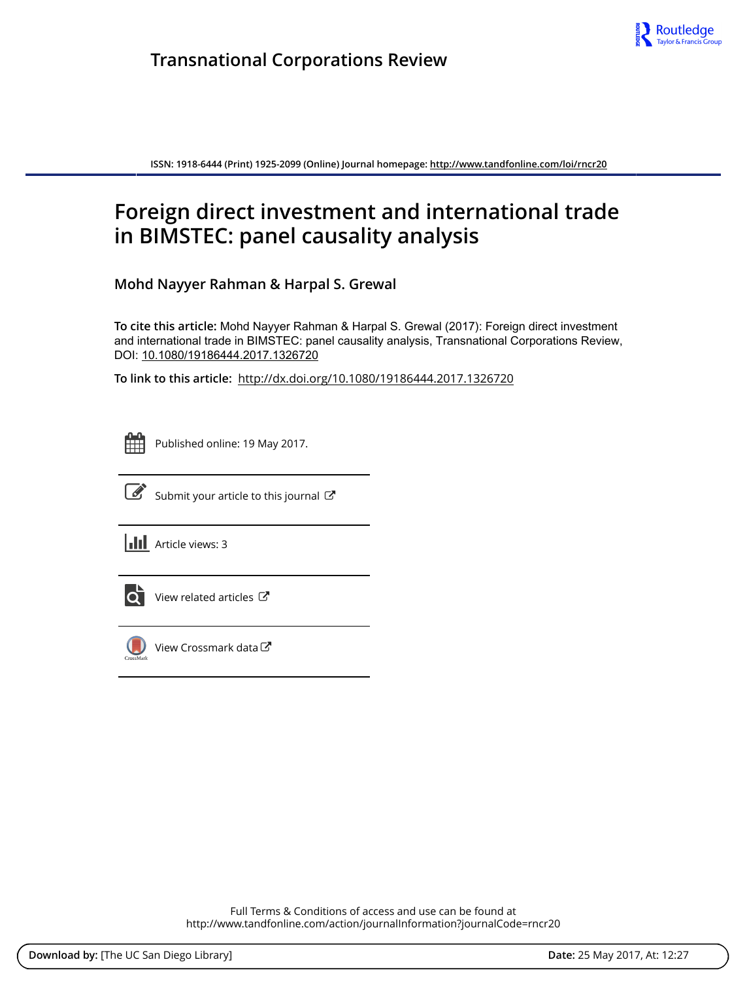

**ISSN: 1918-6444 (Print) 1925-2099 (Online) Journal homepage:<http://www.tandfonline.com/loi/rncr20>**

# **Foreign direct investment and international trade in BIMSTEC: panel causality analysis**

**Mohd Nayyer Rahman & Harpal S. Grewal**

**To cite this article:** Mohd Nayyer Rahman & Harpal S. Grewal (2017): Foreign direct investment and international trade in BIMSTEC: panel causality analysis, Transnational Corporations Review, DOI: [10.1080/19186444.2017.1326720](http://www.tandfonline.com/action/showCitFormats?doi=10.1080/19186444.2017.1326720)

**To link to this article:** <http://dx.doi.org/10.1080/19186444.2017.1326720>

| - | _ |  |
|---|---|--|
|   |   |  |
|   |   |  |
|   |   |  |

Published online: 19 May 2017.



 $\overrightarrow{S}$  [Submit your article to this journal](http://www.tandfonline.com/action/authorSubmission?journalCode=rncr20&show=instructions)  $\overrightarrow{S}$ 

**III** Article views: 3



 $\overline{\mathbf{C}}$  [View related articles](http://www.tandfonline.com/doi/mlt/10.1080/19186444.2017.1326720)  $\mathbf{C}$ 



 $\bigcirc$  [View Crossmark data](http://crossmark.crossref.org/dialog/?doi=10.1080/19186444.2017.1326720&domain=pdf&date_stamp=2017-05-19)  $\mathbb{Z}$ 

Full Terms & Conditions of access and use can be found at <http://www.tandfonline.com/action/journalInformation?journalCode=rncr20>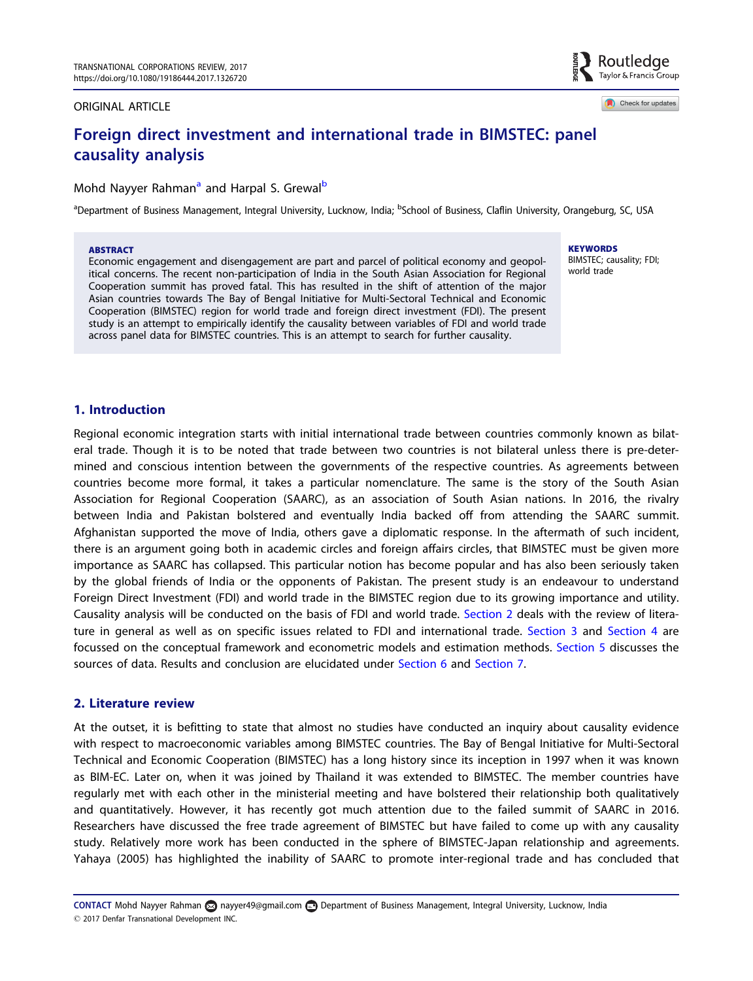#### ORIGINAL ARTICLE

Check for updates

Routledge Taylor & Francis Group

## Foreign direct investment and international trade in BIMSTEC: panel causality analysis

### Mohd Nayyer Rahman<sup>a</sup> and Harpal S. Grewal<sup>b</sup>

<sup>a</sup>Department of Business Management, Integral University, Lucknow, India; <sup>b</sup>School of Business, Claflin University, Orangeburg, SC, USA

#### ABSTRACT

Economic engagement and disengagement are part and parcel of political economy and geopolitical concerns. The recent non-participation of India in the South Asian Association for Regional Cooperation summit has proved fatal. This has resulted in the shift of attention of the major Asian countries towards The Bay of Bengal Initiative for Multi-Sectoral Technical and Economic Cooperation (BIMSTEC) region for world trade and foreign direct investment (FDI). The present study is an attempt to empirically identify the causality between variables of FDI and world trade across panel data for BIMSTEC countries. This is an attempt to search for further causality.

**KEYWORDS** BIMSTEC; causality; FDI; world trade

#### 1. Introduction

Regional economic integration starts with initial international trade between countries commonly known as bilateral trade. Though it is to be noted that trade between two countries is not bilateral unless there is pre-determined and conscious intention between the governments of the respective countries. As agreements between countries become more formal, it takes a particular nomenclature. The same is the story of the South Asian Association for Regional Cooperation (SAARC), as an association of South Asian nations. In 2016, the rivalry between India and Pakistan bolstered and eventually India backed off from attending the SAARC summit. Afghanistan supported the move of India, others gave a diplomatic response. In the aftermath of such incident, there is an argument going both in academic circles and foreign affairs circles, that BIMSTEC must be given more importance as SAARC has collapsed. This particular notion has become popular and has also been seriously taken by the global friends of India or the opponents of Pakistan. The present study is an endeavour to understand Foreign Direct Investment (FDI) and world trade in the BIMSTEC region due to its growing importance and utility. Causality analysis will be conducted on the basis of FDI and world trade. Section 2 deals with the review of litera-ture in general as well as on specific issues related to FDI and international trade. [Section 3](#page-2-0) and [Section 4](#page-3-0) are focussed on the conceptual framework and econometric models and estimation methods. [Section 5](#page-4-0) discusses the sources of data. Results and conclusion are elucidated under [Section 6](#page-5-0) and Section 7.

#### 2. Literature review

At the outset, it is befitting to state that almost no studies have conducted an inquiry about causality evidence with respect to macroeconomic variables among BIMSTEC countries. The Bay of Bengal Initiative for Multi-Sectoral Technical and Economic Cooperation (BIMSTEC) has a long history since its inception in 1997 when it was known as BIM-EC. Later on, when it was joined by Thailand it was extended to BIMSTEC. The member countries have regularly met with each other in the ministerial meeting and have bolstered their relationship both qualitatively and quantitatively. However, it has recently got much attention due to the failed summit of SAARC in 2016. Researchers have discussed the free trade agreement of BIMSTEC but have failed to come up with any causality study. Relatively more work has been conducted in the sphere of BIMSTEC-Japan relationship and agreements. Yahaya (2005) has highlighted the inability of SAARC to promote inter-regional trade and has concluded that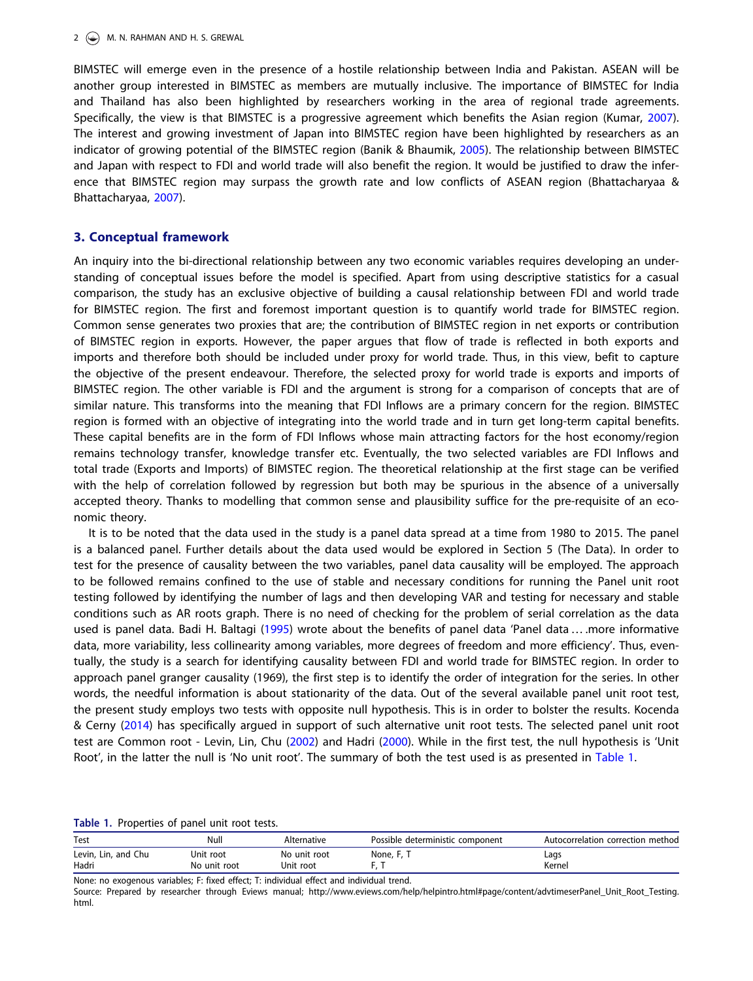<span id="page-2-0"></span>BIMSTEC will emerge even in the presence of a hostile relationship between India and Pakistan. ASEAN will be another group interested in BIMSTEC as members are mutually inclusive. The importance of BIMSTEC for India and Thailand has also been highlighted by researchers working in the area of regional trade agreements. Specifically, the view is that BIMSTEC is a progressive agreement which benefits the Asian region (Kumar, [2007\)](#page-6-0). The interest and growing investment of Japan into BIMSTEC region have been highlighted by researchers as an indicator of growing potential of the BIMSTEC region (Banik & Bhaumik, [2005\)](#page-6-0). The relationship between BIMSTEC and Japan with respect to FDI and world trade will also benefit the region. It would be justified to draw the inference that BIMSTEC region may surpass the growth rate and low conflicts of ASEAN region (Bhattacharyaa & Bhattacharyaa, [2007](#page-6-0)).

#### 3. Conceptual framework

An inquiry into the bi-directional relationship between any two economic variables requires developing an understanding of conceptual issues before the model is specified. Apart from using descriptive statistics for a casual comparison, the study has an exclusive objective of building a causal relationship between FDI and world trade for BIMSTEC region. The first and foremost important question is to quantify world trade for BIMSTEC region. Common sense generates two proxies that are; the contribution of BIMSTEC region in net exports or contribution of BIMSTEC region in exports. However, the paper argues that flow of trade is reflected in both exports and imports and therefore both should be included under proxy for world trade. Thus, in this view, befit to capture the objective of the present endeavour. Therefore, the selected proxy for world trade is exports and imports of BIMSTEC region. The other variable is FDI and the argument is strong for a comparison of concepts that are of similar nature. This transforms into the meaning that FDI Inflows are a primary concern for the region. BIMSTEC region is formed with an objective of integrating into the world trade and in turn get long-term capital benefits. These capital benefits are in the form of FDI Inflows whose main attracting factors for the host economy/region remains technology transfer, knowledge transfer etc. Eventually, the two selected variables are FDI Inflows and total trade (Exports and Imports) of BIMSTEC region. The theoretical relationship at the first stage can be verified with the help of correlation followed by regression but both may be spurious in the absence of a universally accepted theory. Thanks to modelling that common sense and plausibility suffice for the pre-requisite of an economic theory.

It is to be noted that the data used in the study is a panel data spread at a time from 1980 to 2015. The panel is a balanced panel. Further details about the data used would be explored in Section 5 (The Data). In order to test for the presence of causality between the two variables, panel data causality will be employed. The approach to be followed remains confined to the use of stable and necessary conditions for running the Panel unit root testing followed by identifying the number of lags and then developing VAR and testing for necessary and stable conditions such as AR roots graph. There is no need of checking for the problem of serial correlation as the data used is panel data. Badi H. Baltagi ([1995](#page-6-0)) wrote about the benefits of panel data 'Panel data ... more informative data, more variability, less collinearity among variables, more degrees of freedom and more efficiency'. Thus, eventually, the study is a search for identifying causality between FDI and world trade for BIMSTEC region. In order to approach panel granger causality (1969), the first step is to identify the order of integration for the series. In other words, the needful information is about stationarity of the data. Out of the several available panel unit root test, the present study employs two tests with opposite null hypothesis. This is in order to bolster the results. Kocenda & Cerny [\(2014\)](#page-6-0) has specifically argued in support of such alternative unit root tests. The selected panel unit root test are Common root - Levin, Lin, Chu ([2002](#page-6-0)) and Hadri ([2000](#page-6-0)). While in the first test, the null hypothesis is 'Unit Root', in the latter the null is 'No unit root'. The summary of both the test used is as presented in Table 1.

Table 1. Properties of panel unit root tests.

| Test                            | Null                      | Alternative               | Possible deterministic component | Autocorrelation correction method |
|---------------------------------|---------------------------|---------------------------|----------------------------------|-----------------------------------|
| Chu<br>Levin, Lin, and<br>Hadri | Unit root<br>No unit root | No unit root<br>Jnit root | None, F,                         | Lags<br>Kernel                    |

None: no exogenous variables; F: fixed effect; T: individual effect and individual trend.

Source: Prepared by researcher through Eviews manual; [http://www.eviews.com/help/helpintro.html#page/content/advtimeserPanel\\_Unit\\_Root\\_Testing.](http://www.eviews.com/help/helpintro.html#page/content/advtimeserPanel_Unit_Root_Testing.html) [html](http://www.eviews.com/help/helpintro.html#page/content/advtimeserPanel_Unit_Root_Testing.html).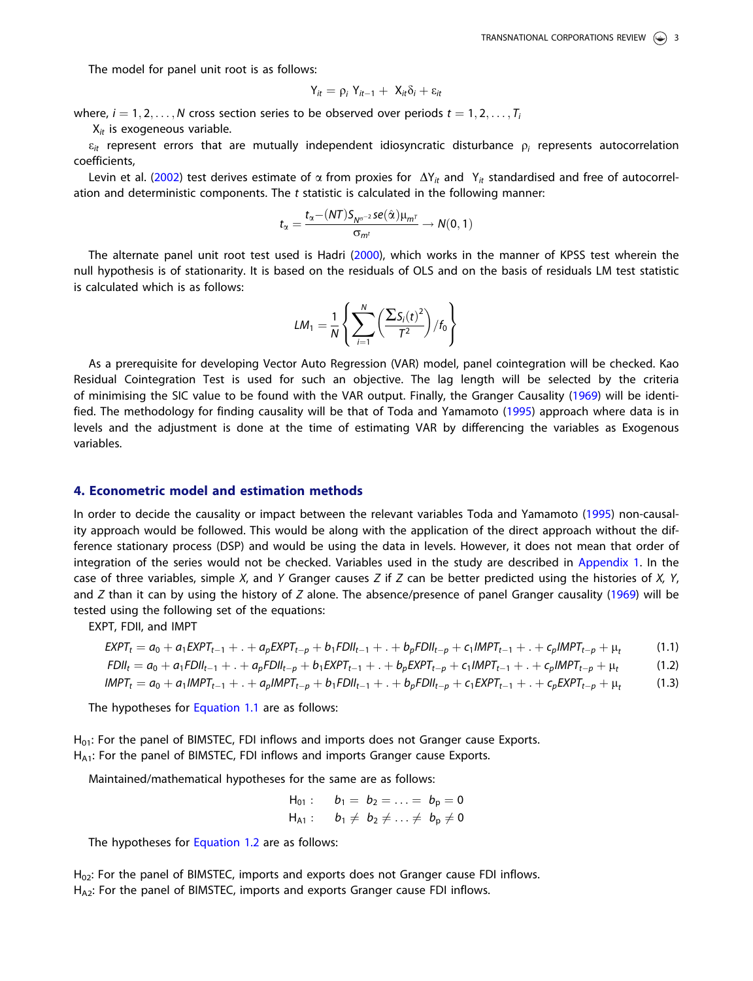<span id="page-3-0"></span>The model for panel unit root is as follows:

$$
Y_{it} = \rho_i \; Y_{it-1} + \; X_{it} \delta_i + \epsilon_{it}
$$

where,  $i = 1, 2, \ldots, N$  cross section series to be observed over periods  $t = 1, 2, \ldots, T_i$ 

 $X_{it}$  is exogeneous variable.

 $\varepsilon_{it}$  represent errors that are mutually independent idiosyncratic disturbance  $\rho_i$  represents autocorrelation coefficients,

Levin et al. ([2002](#page-6-0)) test derives estimate of  $\alpha$  from proxies for  $\Delta Y_{it}$  and  $Y_{it}$  standardised and free of autocorrelation and deterministic components. The  $t$  statistic is calculated in the following manner:

$$
t_{\alpha}=\frac{t_{\alpha}\!-\!(NT)S_{N^{\alpha^{-2}}}se(\hat{\alpha})\mu_{m^{\mathcal{T}}}}{\sigma_{m^{\mathcal{t}}}}\rightarrow N(0,1)
$$

The alternate panel unit root test used is Hadri ([2000](#page-6-0)), which works in the manner of KPSS test wherein the null hypothesis is of stationarity. It is based on the residuals of OLS and on the basis of residuals LM test statistic is calculated which is as follows:

$$
LM_1 = \frac{1}{N} \left\{ \sum_{i=1}^{N} \left( \frac{\sum S_i(t)^2}{T^2} \right) / f_0 \right\}
$$

As a prerequisite for developing Vector Auto Regression (VAR) model, panel cointegration will be checked. Kao Residual Cointegration Test is used for such an objective. The lag length will be selected by the criteria of minimising the SIC value to be found with the VAR output. Finally, the Granger Causality [\(1969\)](#page-6-0) will be identified. The methodology for finding causality will be that of Toda and Yamamoto ([1995](#page-6-0)) approach where data is in levels and the adjustment is done at the time of estimating VAR by differencing the variables as Exogenous variables.

#### 4. Econometric model and estimation methods

In order to decide the causality or impact between the relevant variables Toda and Yamamoto [\(1995\)](#page-6-0) non-causality approach would be followed. This would be along with the application of the direct approach without the difference stationary process (DSP) and would be using the data in levels. However, it does not mean that order of integration of the series would not be checked. Variables used in the study are described in [Appendix 1.](#page-6-0) In the case of three variables, simple X, and Y Granger causes Z if Z can be better predicted using the histories of X, Y, and Z than it can by using the history of Z alone. The absence/presence of panel Granger causality [\(1969\)](#page-6-0) will be tested using the following set of the equations:

EXPT, FDII, and IMPT

$$
EXPT_{t} = a_{0} + a_{1}EXPT_{t-1} + ... + a_{p}EXPT_{t-p} + b_{1}FDII_{t-1} + ... + b_{p}FDII_{t-p} + c_{1}IMPT_{t-1} + ... + c_{p}IMPT_{t-p} + \mu_{t}
$$
(1.1)

$$
FDII_t = a_0 + a_1 FDI_{t-1} + ... + a_p FDI_{t-p} + b_1 EXPT_{t-1} + ... + b_p EXPT_{t-p} + c_1 IMPT_{t-1} + ... + c_p IMPT_{t-p} + \mu_t
$$
\n(1.2)

$$
IMPT_t = a_0 + a_1 IMPT_{t-1} + ... + a_p IMPT_{t-p} + b_1 FOII_{t-1} + ... + b_p FOII_{t-p} + c_1 EXPT_{t-1} + ... + c_p EXPT_{t-p} + \mu_t
$$
(1.3)

The hypotheses for Equation 1.1 are as follows:

 $H<sub>01</sub>$ : For the panel of BIMSTEC, FDI inflows and imports does not Granger cause Exports. H<sub>A1</sub>: For the panel of BIMSTEC, FDI inflows and imports Granger cause Exports.

Maintained/mathematical hypotheses for the same are as follows:

$$
H_{01}
$$
:  $b_1 = b_2 = ... = b_p = 0$   
\n $H_{A1}$ :  $b_1 \neq b_2 \neq ... \neq b_p \neq 0$ 

The hypotheses for Equation 1.2 are as follows:

 $H<sub>02</sub>$ : For the panel of BIMSTEC, imports and exports does not Granger cause FDI inflows. H<sub>A2</sub>: For the panel of BIMSTEC, imports and exports Granger cause FDI inflows.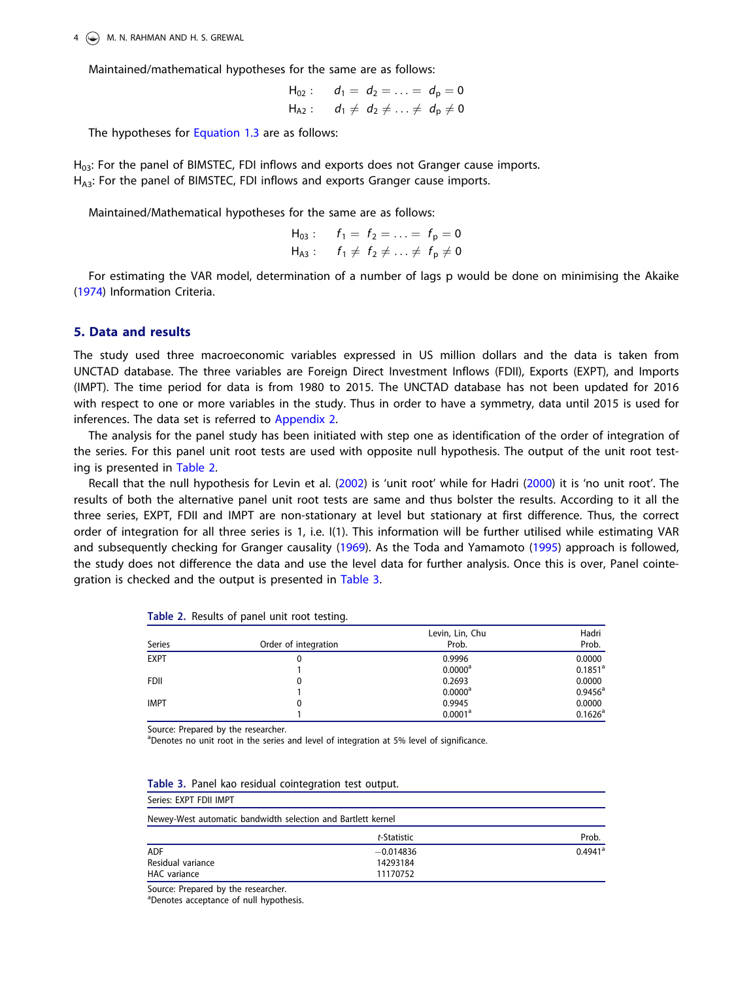<span id="page-4-0"></span> $4 \quad \circledast$  M. N. RAHMAN AND H. S. GREWAL

Maintained/mathematical hypotheses for the same are as follows:

 $H_{02}$ :  $d_1 = d_2 = \ldots = d_p = 0$  $H_{A2}$  :  $d_1 \neq d_2 \neq \ldots \neq d_p \neq 0$ 

The hypotheses for [Equation 1.3](#page-3-0) are as follows:

H<sub>03</sub>: For the panel of BIMSTEC, FDI inflows and exports does not Granger cause imports. H<sub>A3</sub>: For the panel of BIMSTEC, FDI inflows and exports Granger cause imports.

Maintained/Mathematical hypotheses for the same are as follows:

H<sub>03</sub>: 
$$
f_1 = f_2 = ... = f_p = 0
$$
  
H<sub>A3</sub>:  $f_1 \neq f_2 \neq ... \neq f_p \neq 0$ 

For estimating the VAR model, determination of a number of lags p would be done on minimising the Akaike ([1974](#page-6-0)) Information Criteria.

#### 5. Data and results

The study used three macroeconomic variables expressed in US million dollars and the data is taken from UNCTAD database. The three variables are Foreign Direct Investment Inflows (FDII), Exports (EXPT), and Imports (IMPT). The time period for data is from 1980 to 2015. The UNCTAD database has not been updated for 2016 with respect to one or more variables in the study. Thus in order to have a symmetry, data until 2015 is used for inferences. The data set is referred to [Appendix 2.](#page-7-0)

The analysis for the panel study has been initiated with step one as identification of the order of integration of the series. For this panel unit root tests are used with opposite null hypothesis. The output of the unit root testing is presented in Table 2.

Recall that the null hypothesis for Levin et al. [\(2002\)](#page-6-0) is 'unit root' while for Hadri [\(2000\)](#page-6-0) it is 'no unit root'. The results of both the alternative panel unit root tests are same and thus bolster the results. According to it all the three series, EXPT, FDII and IMPT are non-stationary at level but stationary at first difference. Thus, the correct order of integration for all three series is 1, i.e. I(1). This information will be further utilised while estimating VAR and subsequently checking for Granger causality [\(1969\)](#page-6-0). As the Toda and Yamamoto [\(1995\)](#page-6-0) approach is followed, the study does not difference the data and use the level data for further analysis. Once this is over, Panel cointegration is checked and the output is presented in Table 3.

| Series      | Order of integration | Levin, Lin, Chu<br>Prob. | Hadri<br>Prob.        |
|-------------|----------------------|--------------------------|-----------------------|
| <b>EXPT</b> |                      | 0.9996                   | 0.0000                |
|             |                      | $0.0000^a$               | $0.1851$ <sup>a</sup> |
| <b>FDII</b> |                      | 0.2693                   | 0.0000                |
|             |                      | $0.0000$ <sup>a</sup>    | $0.9456^{\circ}$      |
| <b>IMPT</b> | 0                    | 0.9945                   | 0.0000                |
|             |                      | 0.0001 <sup>a</sup>      | $0.1626^{\circ}$      |

| Table 2. Results of panel unit root testing. |  |  |  |  |  |  |
|----------------------------------------------|--|--|--|--|--|--|
|----------------------------------------------|--|--|--|--|--|--|

Source: Prepared by the researcher.

<sup>a</sup>Denotes no unit root in the series and level of integration at 5% level of significance.

| Table 3. Panel kao residual cointegration test output.       |             |                       |
|--------------------------------------------------------------|-------------|-----------------------|
| Series: EXPT FDII IMPT                                       |             |                       |
| Newey-West automatic bandwidth selection and Bartlett kernel |             |                       |
|                                                              | t-Statistic | Prob.                 |
| <b>ADF</b>                                                   | $-0.014836$ | $0.4941$ <sup>a</sup> |
| Residual variance                                            | 14293184    |                       |
| HAC variance                                                 | 11170752    |                       |

Table 3. Panel kao residual cointegration test output.

Source: Prepared by the researcher.

a Denotes acceptance of null hypothesis.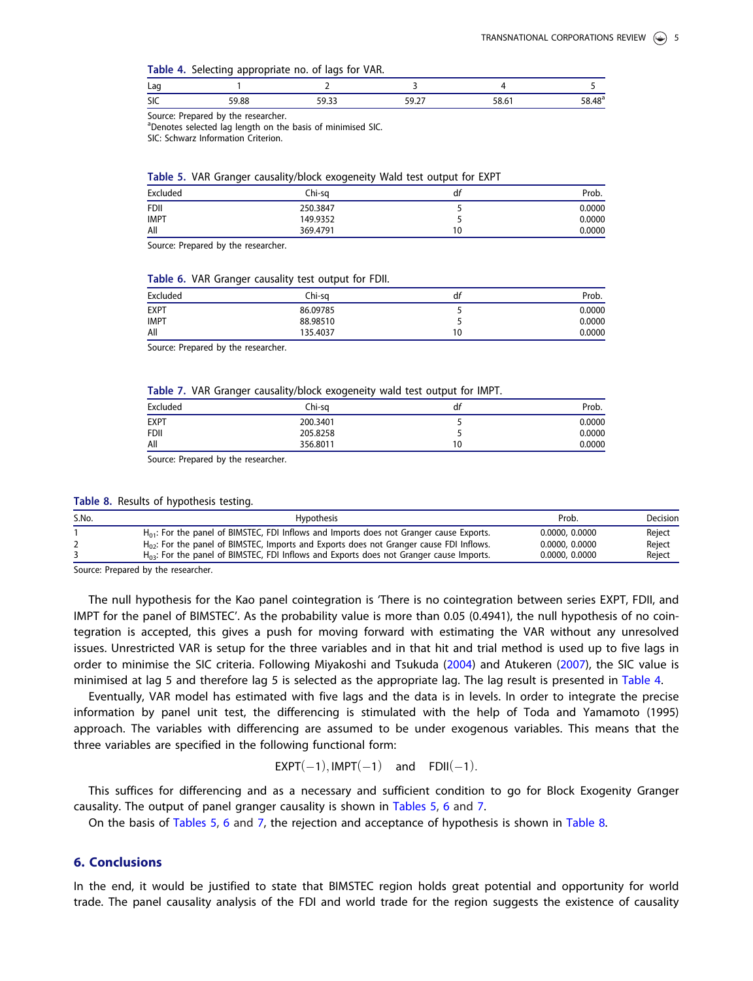<span id="page-5-0"></span>Table 4. Selecting appropriate no. of lags for VAR.

| Lag |            |       |       |     |
|-----|------------|-------|-------|-----|
| SIC | oc<br>oc.' | JJ.JJ | ، ۱٫۷ | . ע |

Source: Prepared by the researcher.

<sup>a</sup>Denotes selected lag length on the basis of minimised SIC.

SIC: Schwarz Information Criterion.

|  |  |  | Table 5. VAR Granger causality/block exogeneity Wald test output for EXPT |  |  |  |  |  |
|--|--|--|---------------------------------------------------------------------------|--|--|--|--|--|
|--|--|--|---------------------------------------------------------------------------|--|--|--|--|--|

| Excluded    | Chi-sa   | df | Prob.  |
|-------------|----------|----|--------|
| <b>FDII</b> | 250.3847 |    | 0.0000 |
| <b>IMPT</b> | 149.9352 |    | 0.0000 |
| All         | 369.4791 | 10 | 0.0000 |

Source: Prepared by the researcher.

#### Table 6. VAR Granger causality test output for FDII.

| Excluded    | Chi-sa   | df | Prob.  |
|-------------|----------|----|--------|
| EXPT        | 86.09785 |    | 0.0000 |
| <b>IMPT</b> | 88.98510 |    | 0.0000 |
| All         | 135.4037 | 10 | 0.0000 |

Source: Prepared by the researcher.

#### Table 7. VAR Granger causality/block exogeneity wald test output for IMPT.

|             | .        |    |        |
|-------------|----------|----|--------|
| Excluded    | Chi-sa   | dt | Prob.  |
| <b>EXPT</b> | 200.3401 |    | 0.0000 |
| <b>FDII</b> | 205.8258 |    | 0.0000 |
| All         | 356.8011 | 10 | 0.0000 |
|             |          |    |        |

Source: Prepared by the researcher.

|  |  | Table 8. Results of hypothesis testing. |  |
|--|--|-----------------------------------------|--|
|--|--|-----------------------------------------|--|

| S.No. | Hypothesis                                                                                   | Prob.          | Decision |
|-------|----------------------------------------------------------------------------------------------|----------------|----------|
|       | $H_{01}$ : For the panel of BIMSTEC, FDI Inflows and Imports does not Granger cause Exports. | 0.0000, 0.0000 | Reiect   |
|       | $H_{02}$ : For the panel of BIMSTEC, Imports and Exports does not Granger cause FDI Inflows. | 0.0000, 0.0000 | Reject   |
|       | $H_{03}$ : For the panel of BIMSTEC, FDI Inflows and Exports does not Granger cause Imports. | 0.0000, 0.0000 | Reiect   |

Source: Prepared by the researcher.

The null hypothesis for the Kao panel cointegration is 'There is no cointegration between series EXPT, FDII, and IMPT for the panel of BIMSTEC'. As the probability value is more than 0.05 (0.4941), the null hypothesis of no cointegration is accepted, this gives a push for moving forward with estimating the VAR without any unresolved issues. Unrestricted VAR is setup for the three variables and in that hit and trial method is used up to five lags in order to minimise the SIC criteria. Following Miyakoshi and Tsukuda ([2004](#page-6-0)) and Atukeren [\(2007\)](#page-6-0), the SIC value is minimised at lag 5 and therefore lag 5 is selected as the appropriate lag. The lag result is presented in Table 4.

Eventually, VAR model has estimated with five lags and the data is in levels. In order to integrate the precise information by panel unit test, the differencing is stimulated with the help of Toda and Yamamoto (1995) approach. The variables with differencing are assumed to be under exogenous variables. This means that the three variables are specified in the following functional form:

$$
EXPT(-1), IMPT(-1) \quad \text{and} \quad FDII(-1).
$$

This suffices for differencing and as a necessary and sufficient condition to go for Block Exogenity Granger causality. The output of panel granger causality is shown in Tables 5, 6 and 7.

On the basis of Tables 5, 6 and 7, the rejection and acceptance of hypothesis is shown in Table 8.

#### 6. Conclusions

In the end, it would be justified to state that BIMSTEC region holds great potential and opportunity for world trade. The panel causality analysis of the FDI and world trade for the region suggests the existence of causality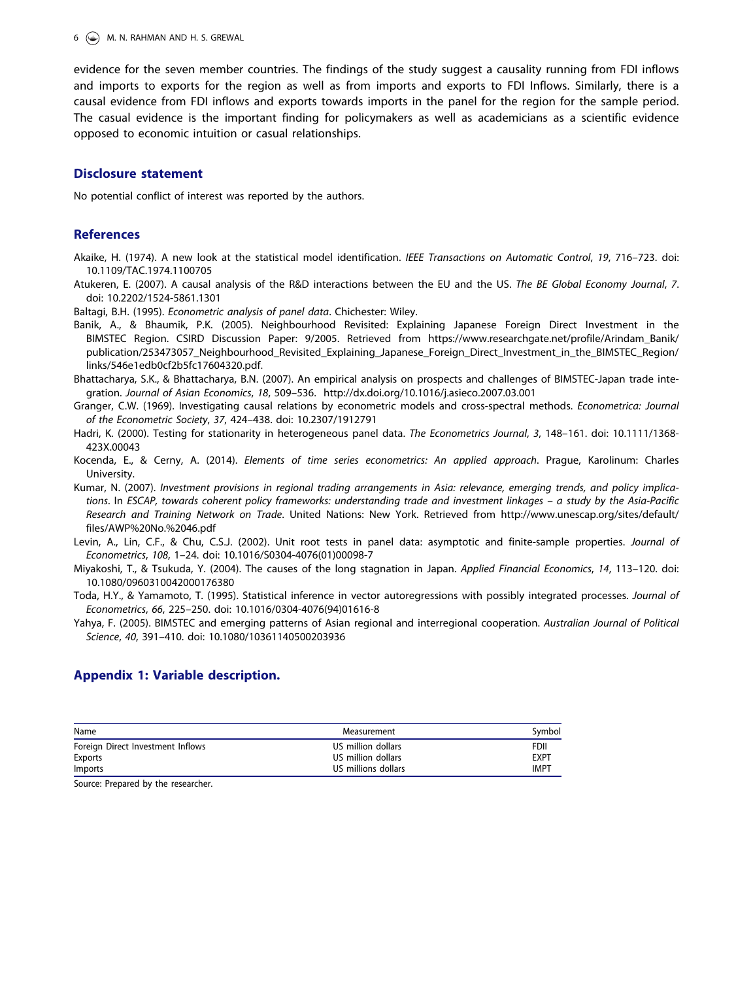<span id="page-6-0"></span> $6 \quad \circled{4}$  M. N. RAHMAN AND H. S. GREWAL

evidence for the seven member countries. The findings of the study suggest a causality running from FDI inflows and imports to exports for the region as well as from imports and exports to FDI Inflows. Similarly, there is a causal evidence from FDI inflows and exports towards imports in the panel for the region for the sample period. The casual evidence is the important finding for policymakers as well as academicians as a scientific evidence opposed to economic intuition or casual relationships.

#### Disclosure statement

No potential conflict of interest was reported by the authors.

#### References

Akaike, H. [\(1974\)](#page-4-0). A new look at the statistical model identification. IEEE Transactions on Automatic Control, 19, 716–723. doi: [10.1109/TAC.1974.1100705](https://doi.org/10.1109/TAC.1974.1100705)

Atukeren, E. [\(2007](#page-5-0)). A causal analysis of the R&D interactions between the EU and the US. The BE Global Economy Journal, 7. doi: [10.2202/1524-5861.1301](https://doi.org/10.2202/1524-5861.1301)

Baltagi, B.H. [\(1995\)](#page-2-0). Econometric analysis of panel data. Chichester: Wiley.

- Banik, A., & Bhaumik, P.K. ([2005](#page-2-0)). Neighbourhood Revisited: Explaining Japanese Foreign Direct Investment in the BIMSTEC Region. CSIRD Discussion Paper: 9/2005. Retrieved from [https://www.researchgate.net/profile/Arindam\\_Banik/](https://www.researchgate.net/profile/Arindam_Banik/publication/253473057_Neighbourhood_Revisited_Explaining_Japanese_Foreign_Direct_Investment_in_the_BIMSTEC_Region/links/546e1edb0cf2b5fc17604320.pdf) [publication/253473057\\_Neighbourhood\\_Revisited\\_Explaining\\_Japanese\\_Foreign\\_Direct\\_Investment\\_in\\_the\\_BIMSTEC\\_Region/](https://www.researchgate.net/profile/Arindam_Banik/publication/253473057_Neighbourhood_Revisited_Explaining_Japanese_Foreign_Direct_Investment_in_the_BIMSTEC_Region/links/546e1edb0cf2b5fc17604320.pdf) [links/546e1edb0cf2b5fc17604320.pdf.](https://www.researchgate.net/profile/Arindam_Banik/publication/253473057_Neighbourhood_Revisited_Explaining_Japanese_Foreign_Direct_Investment_in_the_BIMSTEC_Region/links/546e1edb0cf2b5fc17604320.pdf)
- Bhattacharya, S.K., & Bhattacharya, B.N. ([2007](#page-2-0)). An empirical analysis on prospects and challenges of BIMSTEC-Japan trade integration. Journal of Asian Economics, 18, 509–536.<http://dx.doi.org/10.1016/j.asieco.2007.03.001>
- Granger, C.W. [\(1969\)](#page-3-0). Investigating causal relations by econometric models and cross-spectral methods. Econometrica: Journal of the Econometric Society, 37, 424–438. doi: [10.2307/1912791](https://doi.org/10.2307/1912791)
- Hadri, K. ([2000](#page-2-0)). Testing for stationarity in heterogeneous panel data. The Econometrics Journal, 3, 148-161. doi: [10.1111/1368-](https://doi.org/10.1111/1368-423X.00043) [423X.00043](https://doi.org/10.1111/1368-423X.00043)
- Kocenda, E., & Cerny, A. [\(2014\)](#page-2-0). Elements of time series econometrics: An applied approach. Prague, Karolinum: Charles University.
- Kumar, N. [\(2007\)](#page-2-0). Investment provisions in regional trading arrangements in Asia: relevance, emerging trends, and policy implications. In ESCAP, towards coherent policy frameworks: understanding trade and investment linkages – a study by the Asia-Pacific Research and Training Network on Trade. United Nations: New York. Retrieved from [http://www.unescap.org/sites/default/](http://www.unescap.org/sites/default/files/AWP&hx0025;20No.&hx0025;2046.pdf) [files/AWP%20No.%2046.pdf](http://www.unescap.org/sites/default/files/AWP&hx0025;20No.&hx0025;2046.pdf)
- Levin, A., Lin, C.F., & Chu, C.S.J. [\(2002\)](#page-2-0). Unit root tests in panel data: asymptotic and finite-sample properties. Journal of Econometrics, 108, 1–24. doi: [10.1016/S0304-4076\(01\)00098-7](https://doi.org/10.1016/S0304-4076(01)00098-7)
- Miyakoshi, T., & Tsukuda, Y. ([2004\)](#page-5-0). The causes of the long stagnation in Japan. Applied Financial Economics, 14, 113–120. doi: [10.1080/0960310042000176380](https://doi.org/10.1080/0960310042000176380)
- Toda, H.Y., & Yamamoto, T. [\(1995\)](#page-3-0). Statistical inference in vector autoregressions with possibly integrated processes. Journal of Econometrics, 66, 225–250. doi: [10.1016/0304-4076\(94\)01616-8](https://doi.org/10.1016/0304-4076(94)01616-8)
- Yahya, F. (2005). BIMSTEC and emerging patterns of Asian regional and interregional cooperation. Australian Journal of Political Science, 40, 391–410. doi: [10.1080/10361140500203936](https://doi.org/10.1080/10361140500203936)

#### Appendix 1: Variable description.

| Name                              | Measurement         | Symbol      |
|-----------------------------------|---------------------|-------------|
| Foreign Direct Investment Inflows | US million dollars  | FDII        |
| Exports                           | US million dollars  | <b>EXPT</b> |
| Imports                           | US millions dollars | IMPT        |

Source: Prepared by the researcher.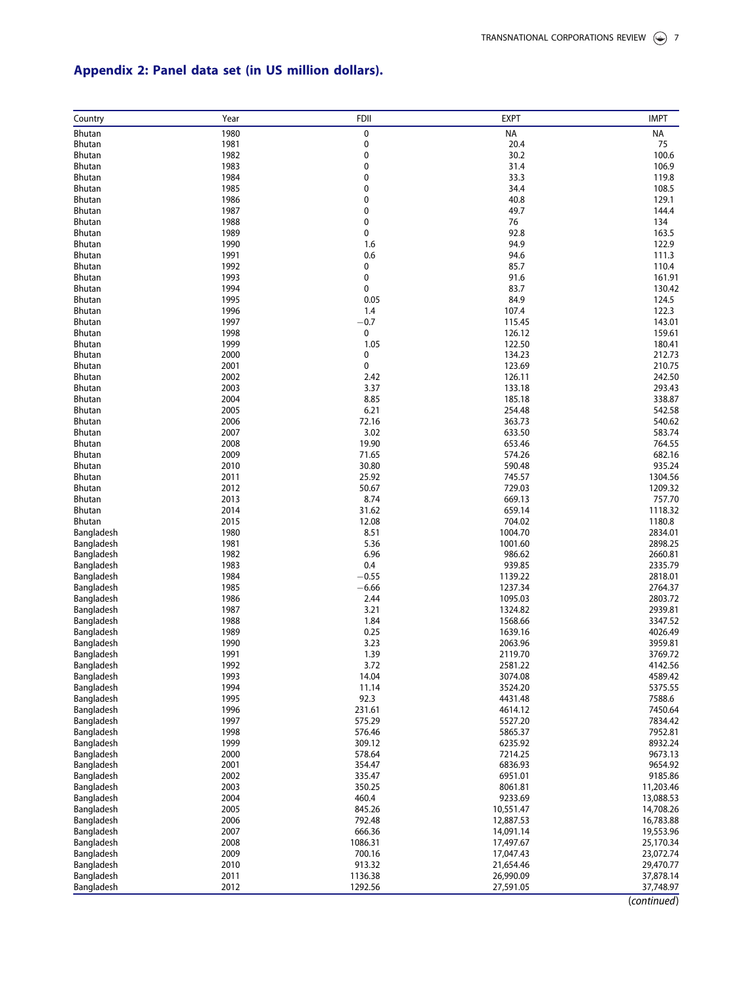## <span id="page-7-0"></span>Appendix 2: Panel data set (in US million dollars).

| Country                        | Year         | <b>FDII</b>      | <b>EXPT</b>        | <b>IMPT</b>        |
|--------------------------------|--------------|------------------|--------------------|--------------------|
| Bhutan                         | 1980         | 0                | <b>NA</b>          | ΝA                 |
| <b>Bhutan</b>                  | 1981         | 0                | 20.4               | 75                 |
| <b>Bhutan</b>                  | 1982         | 0                | 30.2               | 100.6              |
| <b>Bhutan</b>                  | 1983         | 0                | 31.4               | 106.9              |
| <b>Bhutan</b>                  | 1984         | 0                | 33.3               | 119.8              |
| <b>Bhutan</b>                  | 1985         | 0                | 34.4               | 108.5              |
| Bhutan                         | 1986         | 0                | 40.8               | 129.1              |
| <b>Bhutan</b>                  | 1987         | 0                | 49.7               | 144.4              |
| Bhutan                         | 1988         | 0                | 76                 | 134                |
| Bhutan                         | 1989         | 0                | 92.8               | 163.5              |
| <b>Bhutan</b>                  | 1990         | 1.6<br>0.6       | 94.9               | 122.9              |
| <b>Bhutan</b><br>Bhutan        | 1991<br>1992 | 0                | 94.6<br>85.7       | 111.3<br>110.4     |
| <b>Bhutan</b>                  | 1993         | 0                | 91.6               | 161.91             |
| <b>Bhutan</b>                  | 1994         | 0                | 83.7               | 130.42             |
| <b>Bhutan</b>                  | 1995         | 0.05             | 84.9               | 124.5              |
| Bhutan                         | 1996         | 1.4              | 107.4              | 122.3              |
| <b>Bhutan</b>                  | 1997         | $-0.7$           | 115.45             | 143.01             |
| <b>Bhutan</b>                  | 1998         | 0                | 126.12             | 159.61             |
| <b>Bhutan</b>                  | 1999         | 1.05             | 122.50             | 180.41             |
| <b>Bhutan</b>                  | 2000         | 0                | 134.23             | 212.73             |
| <b>Bhutan</b>                  | 2001         | 0                | 123.69             | 210.75             |
| <b>Bhutan</b>                  | 2002         | 2.42             | 126.11             | 242.50             |
| <b>Bhutan</b>                  | 2003         | 3.37             | 133.18             | 293.43             |
| <b>Bhutan</b>                  | 2004         | 8.85             | 185.18             | 338.87             |
| <b>Bhutan</b>                  | 2005         | 6.21             | 254.48             | 542.58             |
| <b>Bhutan</b>                  | 2006         | 72.16            | 363.73             | 540.62             |
| <b>Bhutan</b><br><b>Bhutan</b> | 2007<br>2008 | 3.02<br>19.90    | 633.50<br>653.46   | 583.74<br>764.55   |
| <b>Bhutan</b>                  | 2009         | 71.65            | 574.26             | 682.16             |
| <b>Bhutan</b>                  | 2010         | 30.80            | 590.48             | 935.24             |
| <b>Bhutan</b>                  | 2011         | 25.92            | 745.57             | 1304.56            |
| <b>Bhutan</b>                  | 2012         | 50.67            | 729.03             | 1209.32            |
| <b>Bhutan</b>                  | 2013         | 8.74             | 669.13             | 757.70             |
| Bhutan                         | 2014         | 31.62            | 659.14             | 1118.32            |
| <b>Bhutan</b>                  | 2015         | 12.08            | 704.02             | 1180.8             |
| Bangladesh                     | 1980         | 8.51             | 1004.70            | 2834.01            |
| Bangladesh                     | 1981         | 5.36             | 1001.60            | 2898.25            |
| Bangladesh                     | 1982         | 6.96             | 986.62             | 2660.81            |
| Bangladesh                     | 1983         | 0.4              | 939.85             | 2335.79            |
| Bangladesh                     | 1984         | $-0.55$          | 1139.22            | 2818.01            |
| Bangladesh                     | 1985<br>1986 | $-6.66$<br>2.44  | 1237.34<br>1095.03 | 2764.37<br>2803.72 |
| Bangladesh<br>Bangladesh       | 1987         | 3.21             | 1324.82            | 2939.81            |
| Bangladesh                     | 1988         | 1.84             | 1568.66            | 3347.52            |
| Bangladesh                     | 1989         | 0.25             | 1639.16            | 4026.49            |
| Bangladesh                     | 1990         | 3.23             | 2063.96            | 3959.81            |
| Bangladesh                     | 1991         | 1.39             | 2119.70            | 3769.72            |
| Bangladesh                     | 1992         | 3.72             | 2581.22            | 4142.56            |
| Bangladesh                     | 1993         | 14.04            | 3074.08            | 4589.42            |
| Bangladesh                     | 1994         | 11.14            | 3524.20            | 5375.55            |
| Bangladesh                     | 1995         | 92.3             | 4431.48            | 7588.6             |
| Bangladesh                     | 1996         | 231.61           | 4614.12            | 7450.64            |
| Bangladesh                     | 1997         | 575.29           | 5527.20            | 7834.42            |
| Bangladesh                     | 1998         | 576.46           | 5865.37            | 7952.81            |
| Bangladesh                     | 1999         | 309.12<br>578.64 | 6235.92<br>7214.25 | 8932.24            |
| Bangladesh<br>Bangladesh       | 2000<br>2001 | 354.47           | 6836.93            | 9673.13<br>9654.92 |
| Bangladesh                     | 2002         | 335.47           | 6951.01            | 9185.86            |
| Bangladesh                     | 2003         | 350.25           | 8061.81            | 11,203.46          |
| Bangladesh                     | 2004         | 460.4            | 9233.69            | 13,088.53          |
| Bangladesh                     | 2005         | 845.26           | 10,551.47          | 14,708.26          |
| Bangladesh                     | 2006         | 792.48           | 12,887.53          | 16,783.88          |
| Bangladesh                     | 2007         | 666.36           | 14,091.14          | 19,553.96          |
| Bangladesh                     | 2008         | 1086.31          | 17,497.67          | 25,170.34          |
| Bangladesh                     | 2009         | 700.16           | 17,047.43          | 23,072.74          |
| Bangladesh                     | 2010         | 913.32           | 21,654.46          | 29,470.77          |
| Bangladesh                     | 2011         | 1136.38          | 26,990.09          | 37,878.14          |
| Bangladesh                     | 2012         | 1292.56          | 27,591.05          | 37,748.97          |

(continued)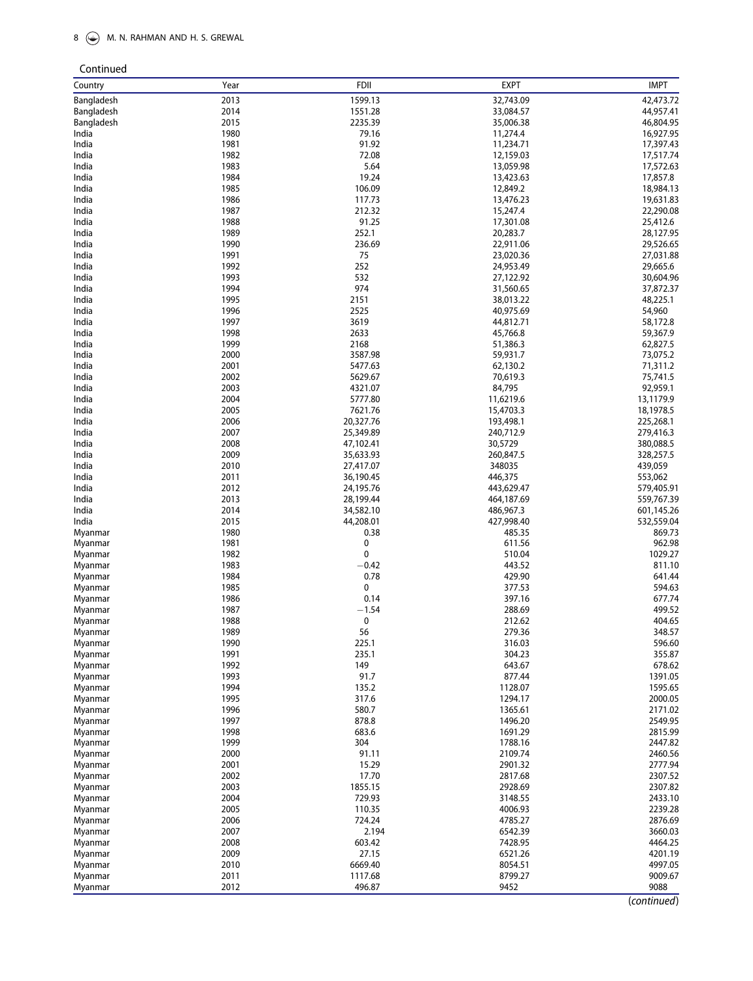### 8  $\circledast$  M. N. RAHMAN AND H. S. GREWAL

Continued

| Country            | Year         | <b>FDII</b>      | <b>EXPT</b>        | <b>IMPT</b>        |
|--------------------|--------------|------------------|--------------------|--------------------|
| Bangladesh         | 2013         | 1599.13          | 32,743.09          | 42,473.72          |
| Bangladesh         | 2014         | 1551.28          | 33,084.57          | 44,957.41          |
| Bangladesh         | 2015         | 2235.39          | 35,006.38          | 46,804.95          |
| India              | 1980         | 79.16            | 11,274.4           | 16,927.95          |
| India              | 1981         | 91.92            | 11,234.71          | 17,397.43          |
| India              | 1982         | 72.08            | 12,159.03          | 17,517.74          |
| India              | 1983         | 5.64             | 13,059.98          | 17,572.63          |
| India              | 1984         | 19.24            | 13,423.63          | 17,857.8           |
| India              | 1985         | 106.09           | 12,849.2           | 18,984.13          |
| India              | 1986         | 117.73           | 13,476.23          | 19,631.83          |
| India              | 1987         | 212.32           | 15,247.4           | 22,290.08          |
| India              | 1988         | 91.25            | 17,301.08          | 25,412.6           |
| India              | 1989         | 252.1            | 20,283.7           | 28,127.95          |
| India              | 1990         | 236.69           | 22,911.06          | 29,526.65          |
| India              | 1991         | 75               | 23,020.36          | 27,031.88          |
| India              | 1992         | 252              | 24,953.49          | 29,665.6           |
| India              | 1993         | 532              | 27,122.92          | 30,604.96          |
| India              | 1994         | 974              | 31,560.65          | 37,872.37          |
| India              | 1995         | 2151             | 38,013.22          | 48,225.1           |
| India              | 1996         | 2525             | 40,975.69          | 54,960             |
| India              | 1997         | 3619             | 44,812.71          | 58,172.8           |
| India              | 1998         | 2633             | 45,766.8           | 59,367.9           |
| India              | 1999         | 2168             | 51,386.3           | 62,827.5           |
| India              | 2000         | 3587.98          | 59,931.7           | 73,075.2           |
| India              | 2001         | 5477.63          | 62,130.2           | 71,311.2           |
| India              | 2002         | 5629.67          | 70,619.3           | 75,741.5           |
| India              | 2003         | 4321.07          | 84,795             | 92,959.1           |
| India              | 2004         | 5777.80          | 11,6219.6          | 13,1179.9          |
| India              | 2005         | 7621.76          | 15,4703.3          | 18,1978.5          |
| India              | 2006         | 20,327.76        | 193,498.1          | 225,268.1          |
| India              | 2007         | 25,349.89        | 240,712.9          | 279,416.3          |
| India              | 2008         | 47,102.41        | 30,5729            | 380,088.5          |
| India              | 2009         | 35,633.93        | 260,847.5          | 328,257.5          |
| India              | 2010         | 27,417.07        | 348035             | 439,059            |
| India              | 2011         | 36,190.45        | 446,375            | 553,062            |
| India              | 2012         | 24,195.76        | 443,629.47         | 579,405.91         |
| India              | 2013         | 28,199.44        | 464,187.69         | 559,767.39         |
| India              | 2014         | 34,582.10        | 486,967.3          | 601,145.26         |
| India              | 2015         | 44,208.01        | 427,998.40         | 532,559.04         |
|                    | 1980         | 0.38             | 485.35             |                    |
| Myanmar            | 1981         | 0                |                    | 869.73<br>962.98   |
| Myanmar            |              | 0                | 611.56             |                    |
| Myanmar            | 1982<br>1983 |                  | 510.04             | 1029.27<br>811.10  |
| Myanmar            | 1984         | $-0.42$<br>0.78  | 443.52<br>429.90   |                    |
| Myanmar            | 1985         | 0                |                    | 641.44<br>594.63   |
| Myanmar            | 1986         | 0.14             | 377.53<br>397.16   | 677.74             |
| Myanmar            | 1987         | $-1.54$          | 288.69             | 499.52             |
| Myanmar<br>Myanmar | 1988         | 0                | 212.62             | 404.65             |
|                    |              |                  |                    |                    |
| Myanmar            | 1989         | 56               | 279.36             | 348.57             |
| Myanmar            | 1990<br>1991 | 225.1<br>235.1   | 316.03<br>304.23   | 596.60<br>355.87   |
| Myanmar            | 1992         | 149              | 643.67             | 678.62             |
| Myanmar            | 1993         | 91.7             | 877.44             | 1391.05            |
| Myanmar            | 1994         | 135.2            | 1128.07            | 1595.65            |
| Myanmar            | 1995         | 317.6            | 1294.17            | 2000.05            |
| Myanmar            | 1996         | 580.7            | 1365.61            | 2171.02            |
| Myanmar            | 1997         | 878.8            | 1496.20            | 2549.95            |
| Myanmar            | 1998         | 683.6            | 1691.29            | 2815.99            |
| Myanmar<br>Myanmar | 1999         | 304              | 1788.16            | 2447.82            |
|                    |              |                  |                    |                    |
| Myanmar            | 2000<br>2001 | 91.11<br>15.29   | 2109.74<br>2901.32 | 2460.56<br>2777.94 |
| Myanmar            | 2002         | 17.70            | 2817.68            | 2307.52            |
| Myanmar            | 2003         | 1855.15          | 2928.69            | 2307.82            |
| Myanmar            | 2004         | 729.93           | 3148.55            | 2433.10            |
| Myanmar            | 2005         | 110.35           | 4006.93            |                    |
| Myanmar            |              | 724.24           | 4785.27            | 2239.28            |
| Myanmar            | 2006<br>2007 |                  |                    | 2876.69<br>3660.03 |
| Myanmar            |              | 2.194            | 6542.39            |                    |
| Myanmar            | 2008         | 603.42           | 7428.95            | 4464.25            |
| Myanmar            | 2009         | 27.15<br>6669.40 | 6521.26            | 4201.19<br>4997.05 |
| Myanmar            | 2010<br>2011 | 1117.68          | 8054.51<br>8799.27 | 9009.67            |
| Myanmar            | 2012         | 496.87           | 9452               | 9088               |
| Myanmar            |              |                  |                    |                    |

(continued)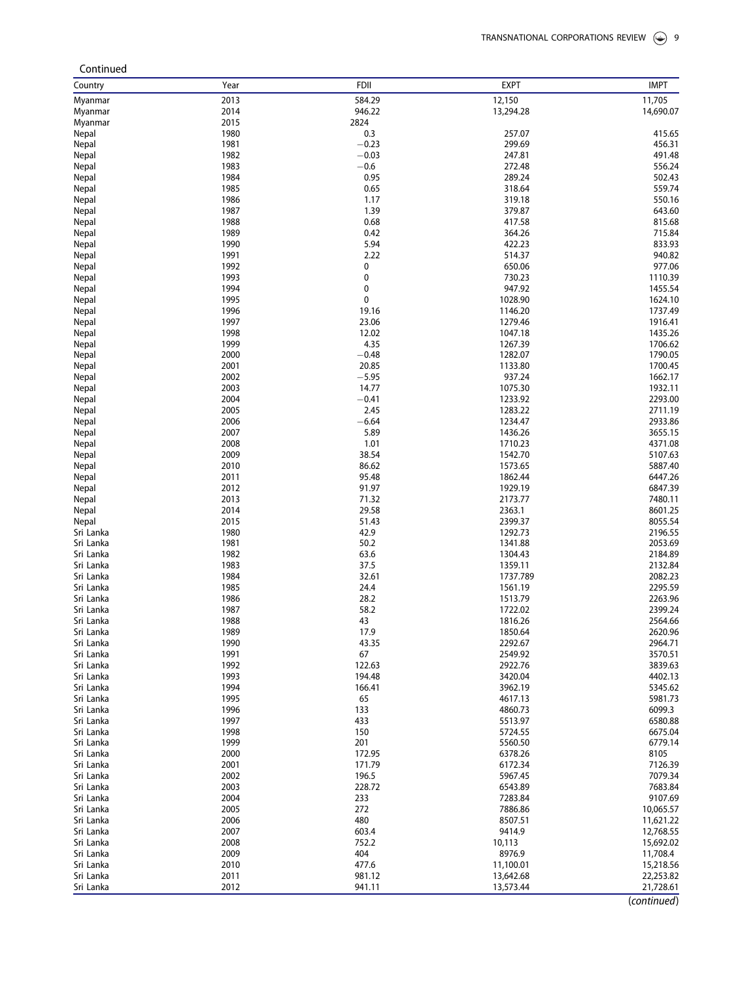| Continued              |              |                 |                    |                    |
|------------------------|--------------|-----------------|--------------------|--------------------|
| Country                | Year         | <b>FDII</b>     | <b>EXPT</b>        | <b>IMPT</b>        |
| Myanmar                | 2013         | 584.29          | 12,150             | 11,705             |
| Myanmar                | 2014         | 946.22          | 13,294.28          | 14,690.07          |
| Myanmar                | 2015         | 2824            |                    |                    |
| Nepal                  | 1980         | 0.3             | 257.07             | 415.65             |
| Nepal                  | 1981         | $-0.23$         | 299.69             | 456.31             |
| Nepal                  | 1982         | $-0.03$         | 247.81             | 491.48             |
| Nepal                  | 1983         | $-0.6$          | 272.48             | 556.24             |
| Nepal                  | 1984         | 0.95            | 289.24             | 502.43             |
| Nepal                  | 1985         | 0.65            | 318.64             | 559.74             |
| Nepal                  | 1986         | 1.17            | 319.18             | 550.16             |
| Nepal                  | 1987         | 1.39            | 379.87             | 643.60             |
| Nepal                  | 1988         | 0.68            | 417.58             | 815.68             |
| Nepal                  | 1989<br>1990 | 0.42<br>5.94    | 364.26<br>422.23   | 715.84             |
| Nepal                  | 1991         | 2.22            | 514.37             | 833.93<br>940.82   |
| Nepal<br>Nepal         | 1992         | 0               | 650.06             | 977.06             |
| Nepal                  | 1993         | 0               | 730.23             | 1110.39            |
| Nepal                  | 1994         | 0               | 947.92             | 1455.54            |
| Nepal                  | 1995         | 0               | 1028.90            | 1624.10            |
| Nepal                  | 1996         | 19.16           | 1146.20            | 1737.49            |
| Nepal                  | 1997         | 23.06           | 1279.46            | 1916.41            |
| Nepal                  | 1998         | 12.02           | 1047.18            | 1435.26            |
| Nepal                  | 1999         | 4.35            | 1267.39            | 1706.62            |
| Nepal                  | 2000         | $-0.48$         | 1282.07            | 1790.05            |
| Nepal                  | 2001         | 20.85           | 1133.80            | 1700.45            |
| Nepal                  | 2002         | $-5.95$         | 937.24             | 1662.17            |
| Nepal                  | 2003         | 14.77           | 1075.30            | 1932.11            |
| Nepal                  | 2004         | $-0.41$         | 1233.92            | 2293.00            |
| Nepal                  | 2005         | 2.45            | 1283.22            | 2711.19            |
| Nepal                  | 2006         | $-6.64$         | 1234.47            | 2933.86            |
| Nepal                  | 2007         | 5.89            | 1436.26            | 3655.15            |
| Nepal                  | 2008         | 1.01            | 1710.23            | 4371.08            |
| Nepal                  | 2009         | 38.54           | 1542.70            | 5107.63            |
| Nepal                  | 2010         | 86.62           | 1573.65            | 5887.40            |
| Nepal                  | 2011         | 95.48           | 1862.44            | 6447.26            |
| Nepal                  | 2012         | 91.97           | 1929.19            | 6847.39            |
| Nepal                  | 2013         | 71.32           | 2173.77            | 7480.11            |
| Nepal                  | 2014         | 29.58           | 2363.1             | 8601.25            |
| Nepal<br>Sri Lanka     | 2015<br>1980 | 51.43<br>42.9   | 2399.37<br>1292.73 | 8055.54<br>2196.55 |
| Sri Lanka              | 1981         | 50.2            | 1341.88            | 2053.69            |
| Sri Lanka              | 1982         | 63.6            | 1304.43            | 2184.89            |
| Sri Lanka              | 1983         | 37.5            | 1359.11            | 2132.84            |
| Sri Lanka              | 1984         | 32.61           | 1737.789           | 2082.23            |
| Sri Lanka              | 1985         | 24.4            | 1561.19            | 2295.59            |
| Sri Lanka              | 1986         | 28.2            | 1513.79            | 2263.96            |
| Sri Lanka              | 1987         | 58.2            | 1722.02            | 2399.24            |
| Sri Lanka              | 1988         | 43              | 1816.26            | 2564.66            |
| Sri Lanka              | 1989         | 17.9            | 1850.64            | 2620.96            |
| Sri Lanka              | 1990         | 43.35           | 2292.67            | 2964.71            |
| Sri Lanka              | 1991         | 67              | 2549.92            | 3570.51            |
| Sri Lanka              | 1992         | 122.63          | 2922.76            | 3839.63            |
| Sri Lanka              | 1993         | 194.48          | 3420.04            | 4402.13            |
| Sri Lanka              | 1994         | 166.41          | 3962.19            | 5345.62            |
| Sri Lanka              | 1995         | 65              | 4617.13            | 5981.73            |
| Sri Lanka              | 1996         | 133             | 4860.73            | 6099.3             |
| Sri Lanka              | 1997         | 433             | 5513.97            | 6580.88            |
| Sri Lanka              | 1998         | 150             | 5724.55            | 6675.04            |
| Sri Lanka              | 1999         | 201             | 5560.50            | 6779.14            |
| Sri Lanka              | 2000         | 172.95          | 6378.26            | 8105               |
| Sri Lanka              | 2001         | 171.79          | 6172.34            | 7126.39            |
| Sri Lanka              | 2002<br>2003 | 196.5<br>228.72 | 5967.45            | 7079.34<br>7683.84 |
| Sri Lanka<br>Sri Lanka | 2004         | 233             | 6543.89<br>7283.84 | 9107.69            |
| Sri Lanka              | 2005         | 272             | 7886.86            | 10,065.57          |
| Sri Lanka              | 2006         | 480             | 8507.51            | 11,621.22          |
| Sri Lanka              | 2007         | 603.4           | 9414.9             | 12,768.55          |
| Sri Lanka              | 2008         | 752.2           | 10,113             | 15,692.02          |
| Sri Lanka              | 2009         | 404             | 8976.9             | 11,708.4           |
| Sri Lanka              | 2010         | 477.6           | 11,100.01          | 15,218.56          |
| Sri Lanka              | 2011         | 981.12          | 13,642.68          | 22,253.82          |
| Sri Lanka              | 2012         | 941.11          | 13,573.44          | 21,728.61          |
|                        |              |                 |                    | $l$ continuad      |

(continued)